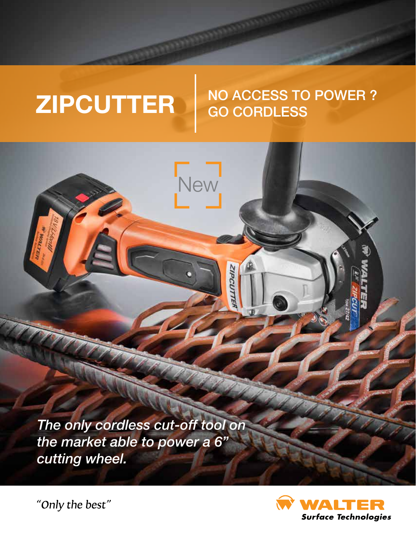# NO ACCESS TO POWER ? GO CORDLESS  **ZIPCUTTER**

Vew

*The only cordless cut-off tool on the market able to power a 6" cutting wheel.* 

**Surface Technologies** 

"Only the best"

MATINA &